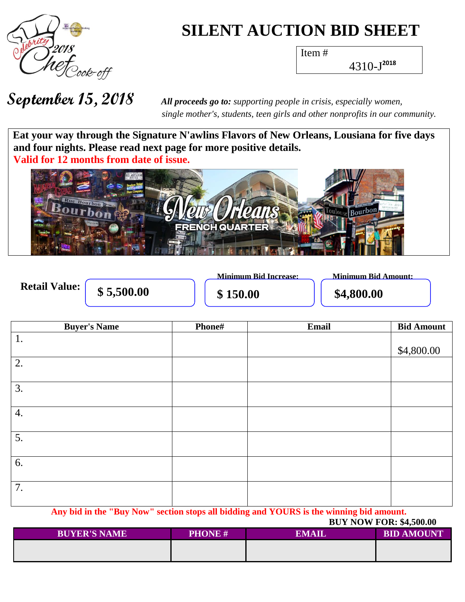

# **SILENT AUCTION BID SHEET**

Item #

4310-J **2018**

 *single mother's, students, teen girls and other nonprofits in our community.*

Eat your way through the Signature N'awlins Flavors of New Orleans, Lousiana for five days  **and four nights. Please read next page for more positive details. Valid for 12 months from date of issue.**



**Retail Value:** 

**\$5,500.00 \$150.00 \$4,800.00** 

**Minimum Bid Increase: Minimum Bid Amount:**

| <b>Buyer's Name</b> | <b>Phone#</b> | Email | <b>Bid Amount</b> |
|---------------------|---------------|-------|-------------------|
| 1.                  |               |       |                   |
|                     |               |       | \$4,800.00        |
| 2.                  |               |       |                   |
| $\overline{3}$ .    |               |       |                   |
|                     |               |       |                   |
| $\overline{4.}$     |               |       |                   |
|                     |               |       |                   |
| $\overline{5}$ .    |               |       |                   |
|                     |               |       |                   |
| $\overline{6}$ .    |               |       |                   |
| $\overline{7}$ .    |               |       |                   |
|                     |               |       |                   |

**Any bid in the "Buy Now" section stops all bidding and YOURS is the winning bid amount.**

### **BUY NOW FOR: \$4,500.00**

| <b>BUYER'S NAME</b> | <b>PHONE#</b> | <b>EMAIL</b> | <b>BID AMOUNT</b> |
|---------------------|---------------|--------------|-------------------|
|                     |               |              |                   |
|                     |               |              |                   |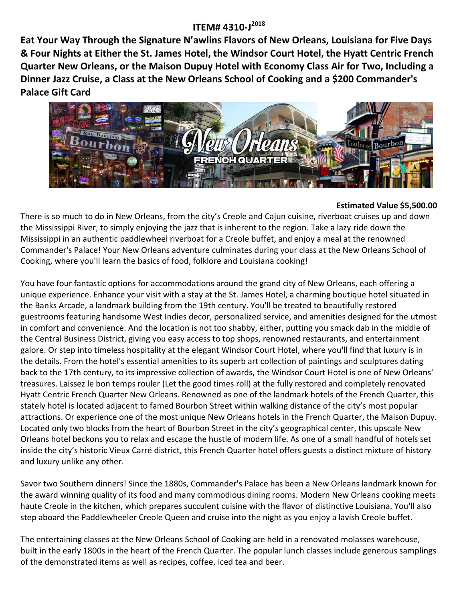## **ITEM# 4310-J 2018**

**Eat Your Way Through the Signature N'awlins Flavors of New Orleans, Louisiana for Five Days & Four Nights at Either the St. James Hotel, the Windsor Court Hotel, the Hyatt Centric French Quarter New Orleans, or the Maison Dupuy Hotel with Economy Class Air for Two, Including a Dinner Jazz Cruise, a Class at the New Orleans School of Cooking and a \$200 Commander's Palace Gift Card**



#### **Estimated Value \$5,500.00**

There is so much to do in New Orleans, from the city's Creole and Cajun cuisine, riverboat cruises up and down the Mississippi River, to simply enjoying the jazz that is inherent to the region. Take a lazy ride down the Mississippi in an authentic paddlewheel riverboat for a Creole buffet, and enjoy a meal at the renowned Commander's Palace! Your New Orleans adventure culminates during your class at the New Orleans School of Cooking, where you'll learn the basics of food, folklore and Louisiana cooking!

You have four fantastic options for accommodations around the grand city of New Orleans, each offering a unique experience. Enhance your visit with a stay at the St. James Hotel, a charming boutique hotel situated in the Banks Arcade, a landmark building from the 19th century. You'll be treated to beautifully restored guestrooms featuring handsome West Indies decor, personalized service, and amenities designed for the utmost in comfort and convenience. And the location is not too shabby, either, putting you smack dab in the middle of the Central Business District, giving you easy access to top shops, renowned restaurants, and entertainment galore. Or step into timeless hospitality at the elegant Windsor Court Hotel, where you'll find that luxury is in the details. From the hotel's essential amenities to its superb art collection of paintings and sculptures dating back to the 17th century, to its impressive collection of awards, the Windsor Court Hotel is one of New Orleans' treasures. Laissez le bon temps rouler (Let the good times roll) at the fully restored and completely renovated Hyatt Centric French Quarter New Orleans. Renowned as one of the landmark hotels of the French Quarter, this stately hotel is located adjacent to famed Bourbon Street within walking distance of the city's most popular attractions. Or experience one of the most unique New Orleans hotels in the French Quarter, the Maison Dupuy. Located only two blocks from the heart of Bourbon Street in the city's geographical center, this upscale New Orleans hotel beckons you to relax and escape the hustle of modern life. As one of a small handful of hotels set inside the city's historic Vieux Carré district, this French Quarter hotel offers guests a distinct mixture of history and luxury unlike any other.

Savor two Southern dinners! Since the 1880s, Commander's Palace has been a New Orleans landmark known for the award winning quality of its food and many commodious dining rooms. Modern New Orleans cooking meets haute Creole in the kitchen, which prepares succulent cuisine with the flavor of distinctive Louisiana. You'll also step aboard the Paddlewheeler Creole Queen and cruise into the night as you enjoy a lavish Creole buffet.

The entertaining classes at the New Orleans School of Cooking are held in a renovated molasses warehouse, built in the early 1800s in the heart of the French Quarter. The popular lunch classes include generous samplings of the demonstrated items as well as recipes, coffee, iced tea and beer.